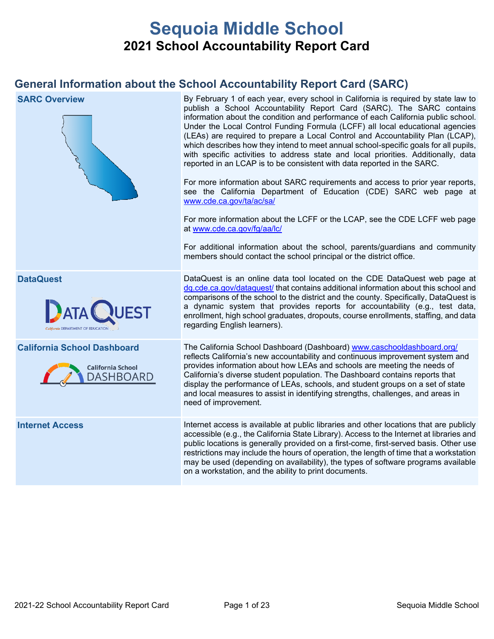# **Sequoia Middle School 2021 School Accountability Report Card**

## **General Information about the School Accountability Report Card (SARC)**

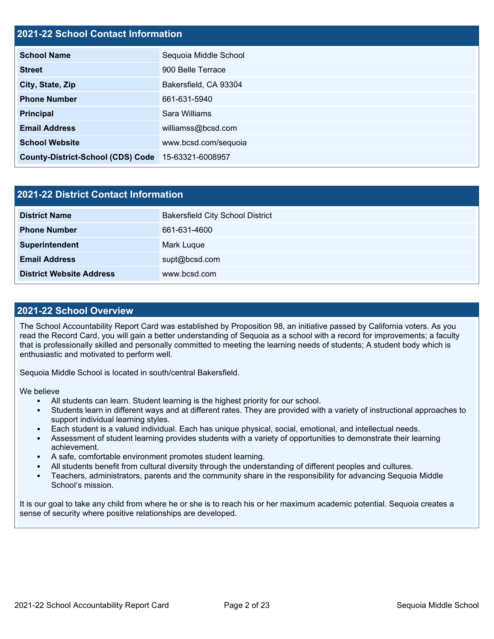## **2021-22 School Contact Information**

| <b>School Name</b>                       | Sequoia Middle School |
|------------------------------------------|-----------------------|
| <b>Street</b>                            | 900 Belle Terrace     |
| City, State, Zip                         | Bakersfield, CA 93304 |
| <b>Phone Number</b>                      | 661-631-5940          |
| <b>Principal</b>                         | Sara Williams         |
| <b>Email Address</b>                     | williamss@bcsd.com    |
| <b>School Website</b>                    | www.bcsd.com/sequoia  |
| <b>County-District-School (CDS) Code</b> | 15-63321-6008957      |

| 2021-22 District Contact Information |                                         |  |  |  |
|--------------------------------------|-----------------------------------------|--|--|--|
| <b>District Name</b>                 | <b>Bakersfield City School District</b> |  |  |  |
| <b>Phone Number</b>                  | 661-631-4600                            |  |  |  |
| Superintendent                       | Mark Luque                              |  |  |  |
| <b>Email Address</b>                 | supt@bcsd.com                           |  |  |  |
| <b>District Website Address</b>      | www.bcsd.com                            |  |  |  |

#### **2021-22 School Overview**

The School Accountability Report Card was established by Proposition 98, an initiative passed by California voters. As you read the Record Card, you will gain a better understanding of Sequoia as a school with a record for improvements; a faculty that is professionally skilled and personally committed to meeting the learning needs of students; A student body which is enthusiastic and motivated to perform well.

Sequoia Middle School is located in south/central Bakersfield.

We believe

- All students can learn. Student learning is the highest priority for our school.
- Students learn in different ways and at different rates. They are provided with a variety of instructional approaches to support individual learning styles.
- Each student is a valued individual. Each has unique physical, social, emotional, and intellectual needs.
- Assessment of student learning provides students with a variety of opportunities to demonstrate their learning achievement.
- A safe, comfortable environment promotes student learning.
- All students benefit from cultural diversity through the understanding of different peoples and cultures.
- Teachers, administrators, parents and the community share in the responsibility for advancing Sequoia Middle School's mission.

It is our goal to take any child from where he or she is to reach his or her maximum academic potential. Sequoia creates a sense of security where positive relationships are developed.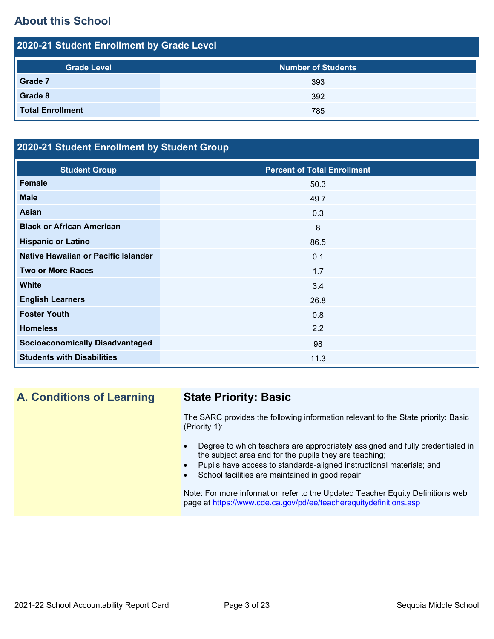## **About this School**

| <b>Number of Students</b><br><b>Grade Level</b> |  |
|-------------------------------------------------|--|
| Grade 7<br>393                                  |  |
| Grade 8<br>392                                  |  |
| <b>Total Enrollment</b><br>785                  |  |

## **2020-21 Student Enrollment by Student Group**

| <b>Student Group</b>                   | <b>Percent of Total Enrollment</b> |
|----------------------------------------|------------------------------------|
| <b>Female</b>                          | 50.3                               |
| <b>Male</b>                            | 49.7                               |
| <b>Asian</b>                           | 0.3                                |
| <b>Black or African American</b>       | 8                                  |
| <b>Hispanic or Latino</b>              | 86.5                               |
| Native Hawaiian or Pacific Islander    | 0.1                                |
| <b>Two or More Races</b>               | 1.7                                |
| <b>White</b>                           | 3.4                                |
| <b>English Learners</b>                | 26.8                               |
| <b>Foster Youth</b>                    | 0.8                                |
| <b>Homeless</b>                        | 2.2                                |
| <b>Socioeconomically Disadvantaged</b> | 98                                 |
| <b>Students with Disabilities</b>      | 11.3                               |

## **A. Conditions of Learning State Priority: Basic**

The SARC provides the following information relevant to the State priority: Basic (Priority 1):

- Degree to which teachers are appropriately assigned and fully credentialed in the subject area and for the pupils they are teaching;
- Pupils have access to standards-aligned instructional materials; and
- School facilities are maintained in good repair

Note: For more information refer to the Updated Teacher Equity Definitions web page at<https://www.cde.ca.gov/pd/ee/teacherequitydefinitions.asp>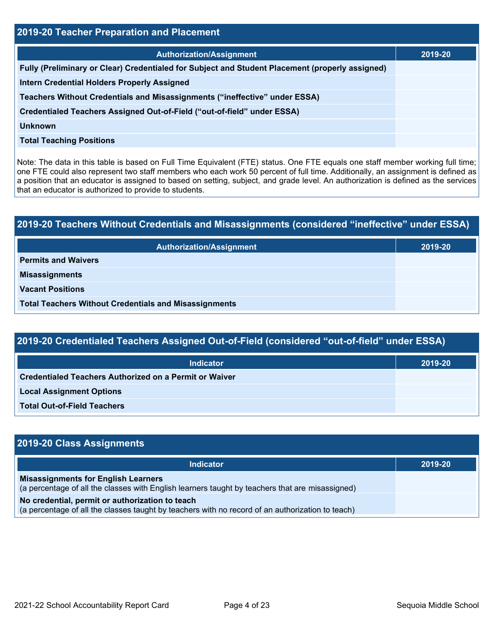| 2019-20 Teacher Preparation and Placement                                                       |         |  |  |
|-------------------------------------------------------------------------------------------------|---------|--|--|
| <b>Authorization/Assignment</b>                                                                 | 2019-20 |  |  |
| Fully (Preliminary or Clear) Credentialed for Subject and Student Placement (properly assigned) |         |  |  |
| <b>Intern Credential Holders Properly Assigned</b>                                              |         |  |  |
| Teachers Without Credentials and Misassignments ("ineffective" under ESSA)                      |         |  |  |
| Credentialed Teachers Assigned Out-of-Field ("out-of-field" under ESSA)                         |         |  |  |
| Unknown                                                                                         |         |  |  |
| <b>Total Teaching Positions</b>                                                                 |         |  |  |

Note: The data in this table is based on Full Time Equivalent (FTE) status. One FTE equals one staff member working full time; one FTE could also represent two staff members who each work 50 percent of full time. Additionally, an assignment is defined as a position that an educator is assigned to based on setting, subject, and grade level. An authorization is defined as the services that an educator is authorized to provide to students.

# **2019-20 Teachers Without Credentials and Misassignments (considered "ineffective" under ESSA) Authorization/Assignment 2019-20 Permits and Waivers Misassignments Vacant Positions Total Teachers Without Credentials and Misassignments**

| 2019-20 Credentialed Teachers Assigned Out-of-Field (considered "out-of-field" under ESSA) |         |  |  |
|--------------------------------------------------------------------------------------------|---------|--|--|
| <b>Indicator</b>                                                                           | 2019-20 |  |  |
| <b>Credentialed Teachers Authorized on a Permit or Waiver</b>                              |         |  |  |
| <b>Local Assignment Options</b>                                                            |         |  |  |
|                                                                                            |         |  |  |

**Total Out-of-Field Teachers**

| 2019-20 Class Assignments                                                                                                                           |         |  |  |  |
|-----------------------------------------------------------------------------------------------------------------------------------------------------|---------|--|--|--|
| <b>Indicator</b>                                                                                                                                    | 2019-20 |  |  |  |
| <b>Misassignments for English Learners</b><br>(a percentage of all the classes with English learners taught by teachers that are misassigned)       |         |  |  |  |
| No credential, permit or authorization to teach<br>(a percentage of all the classes taught by teachers with no record of an authorization to teach) |         |  |  |  |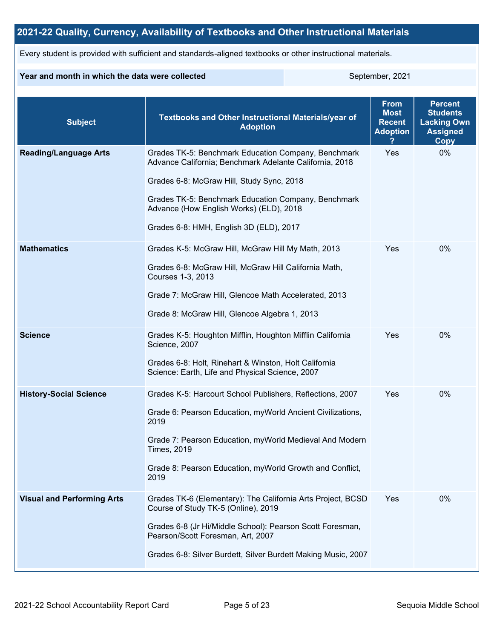## **2021-22 Quality, Currency, Availability of Textbooks and Other Instructional Materials**

Every student is provided with sufficient and standards-aligned textbooks or other instructional materials.

#### **Year and month in which the data were collected** September, 2021

| <b>Subject</b>                    | <b>Textbooks and Other Instructional Materials/year of</b><br><b>Adoption</b>                                                                                                                                                                                                                            | <b>From</b><br><b>Most</b><br><b>Recent</b><br><b>Adoption</b> | <b>Percent</b><br><b>Students</b><br><b>Lacking Own</b><br><b>Assigned</b><br>Copy |
|-----------------------------------|----------------------------------------------------------------------------------------------------------------------------------------------------------------------------------------------------------------------------------------------------------------------------------------------------------|----------------------------------------------------------------|------------------------------------------------------------------------------------|
| <b>Reading/Language Arts</b>      | Grades TK-5: Benchmark Education Company, Benchmark<br>Advance California; Benchmark Adelante California, 2018<br>Grades 6-8: McGraw Hill, Study Sync, 2018<br>Grades TK-5: Benchmark Education Company, Benchmark<br>Advance (How English Works) (ELD), 2018<br>Grades 6-8: HMH, English 3D (ELD), 2017 | Yes                                                            | 0%                                                                                 |
| <b>Mathematics</b>                | Grades K-5: McGraw Hill, McGraw Hill My Math, 2013<br>Grades 6-8: McGraw Hill, McGraw Hill California Math,<br>Courses 1-3, 2013<br>Grade 7: McGraw Hill, Glencoe Math Accelerated, 2013<br>Grade 8: McGraw Hill, Glencoe Algebra 1, 2013                                                                | Yes                                                            | $0\%$                                                                              |
| <b>Science</b>                    | Grades K-5: Houghton Mifflin, Houghton Mifflin California<br>Science, 2007<br>Grades 6-8: Holt, Rinehart & Winston, Holt California<br>Science: Earth, Life and Physical Science, 2007                                                                                                                   | Yes                                                            | 0%                                                                                 |
| <b>History-Social Science</b>     | Grades K-5: Harcourt School Publishers, Reflections, 2007<br>Grade 6: Pearson Education, myWorld Ancient Civilizations,<br>2019<br>Grade 7: Pearson Education, myWorld Medieval And Modern<br><b>Times, 2019</b><br>Grade 8: Pearson Education, myWorld Growth and Conflict,<br>2019                     | Yes                                                            | 0%                                                                                 |
| <b>Visual and Performing Arts</b> | Grades TK-6 (Elementary): The California Arts Project, BCSD<br>Course of Study TK-5 (Online), 2019<br>Grades 6-8 (Jr Hi/Middle School): Pearson Scott Foresman,<br>Pearson/Scott Foresman, Art, 2007<br>Grades 6-8: Silver Burdett, Silver Burdett Making Music, 2007                                    | Yes                                                            | 0%                                                                                 |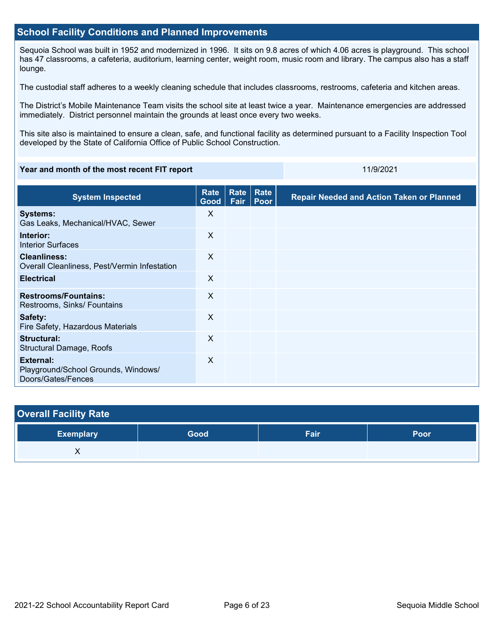#### **School Facility Conditions and Planned Improvements**

Sequoia School was built in 1952 and modernized in 1996. It sits on 9.8 acres of which 4.06 acres is playground. This school has 47 classrooms, a cafeteria, auditorium, learning center, weight room, music room and library. The campus also has a staff lounge.

The custodial staff adheres to a weekly cleaning schedule that includes classrooms, restrooms, cafeteria and kitchen areas.

The District's Mobile Maintenance Team visits the school site at least twice a year. Maintenance emergencies are addressed immediately. District personnel maintain the grounds at least once every two weeks.

This site also is maintained to ensure a clean, safe, and functional facility as determined pursuant to a Facility Inspection Tool developed by the State of California Office of Public School Construction.

#### **Year and month of the most recent FIT report** 11/9/2021 11/9/2021

| <b>System Inspected</b>                                                       | Rate<br>Good $ $ | Rate<br>Fair | Rate<br>Poor | <b>Repair Needed and Action Taken or Planned</b> |
|-------------------------------------------------------------------------------|------------------|--------------|--------------|--------------------------------------------------|
| <b>Systems:</b><br>Gas Leaks, Mechanical/HVAC, Sewer                          | X                |              |              |                                                  |
| Interior:<br><b>Interior Surfaces</b>                                         | $\sf X$          |              |              |                                                  |
| <b>Cleanliness:</b><br>Overall Cleanliness, Pest/Vermin Infestation           | $\sf X$          |              |              |                                                  |
| <b>Electrical</b>                                                             | X                |              |              |                                                  |
| <b>Restrooms/Fountains:</b><br>Restrooms, Sinks/ Fountains                    | X                |              |              |                                                  |
| Safety:<br>Fire Safety, Hazardous Materials                                   | $\sf X$          |              |              |                                                  |
| Structural:<br>Structural Damage, Roofs                                       | X                |              |              |                                                  |
| <b>External:</b><br>Playground/School Grounds, Windows/<br>Doors/Gates/Fences | X                |              |              |                                                  |

| <b>Overall Facility Rate</b> |      |      |             |
|------------------------------|------|------|-------------|
| <b>Exemplary</b>             | Good | Fair | <b>Poor</b> |
|                              |      |      |             |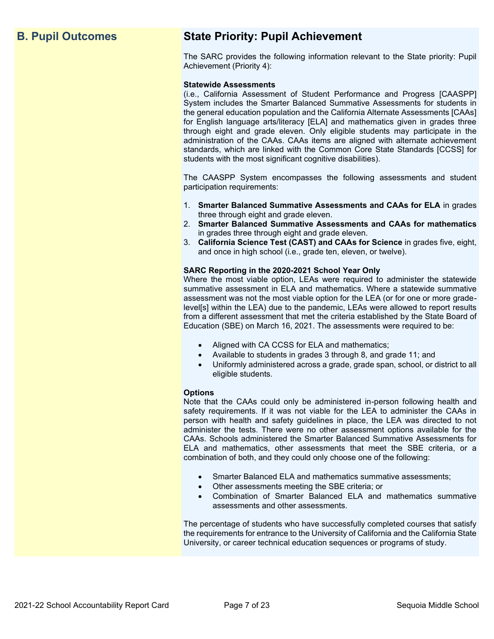## **B. Pupil Outcomes State Priority: Pupil Achievement**

The SARC provides the following information relevant to the State priority: Pupil Achievement (Priority 4):

#### **Statewide Assessments**

(i.e., California Assessment of Student Performance and Progress [CAASPP] System includes the Smarter Balanced Summative Assessments for students in the general education population and the California Alternate Assessments [CAAs] for English language arts/literacy [ELA] and mathematics given in grades three through eight and grade eleven. Only eligible students may participate in the administration of the CAAs. CAAs items are aligned with alternate achievement standards, which are linked with the Common Core State Standards [CCSS] for students with the most significant cognitive disabilities).

The CAASPP System encompasses the following assessments and student participation requirements:

- 1. **Smarter Balanced Summative Assessments and CAAs for ELA** in grades three through eight and grade eleven.
- 2. **Smarter Balanced Summative Assessments and CAAs for mathematics** in grades three through eight and grade eleven.
- 3. **California Science Test (CAST) and CAAs for Science** in grades five, eight, and once in high school (i.e., grade ten, eleven, or twelve).

#### **SARC Reporting in the 2020-2021 School Year Only**

Where the most viable option, LEAs were required to administer the statewide summative assessment in ELA and mathematics. Where a statewide summative assessment was not the most viable option for the LEA (or for one or more gradelevel[s] within the LEA) due to the pandemic, LEAs were allowed to report results from a different assessment that met the criteria established by the State Board of Education (SBE) on March 16, 2021. The assessments were required to be:

- Aligned with CA CCSS for ELA and mathematics;
- Available to students in grades 3 through 8, and grade 11; and
- Uniformly administered across a grade, grade span, school, or district to all eligible students.

#### **Options**

Note that the CAAs could only be administered in-person following health and safety requirements. If it was not viable for the LEA to administer the CAAs in person with health and safety guidelines in place, the LEA was directed to not administer the tests. There were no other assessment options available for the CAAs. Schools administered the Smarter Balanced Summative Assessments for ELA and mathematics, other assessments that meet the SBE criteria, or a combination of both, and they could only choose one of the following:

- Smarter Balanced ELA and mathematics summative assessments;
- Other assessments meeting the SBE criteria; or
- Combination of Smarter Balanced ELA and mathematics summative assessments and other assessments.

The percentage of students who have successfully completed courses that satisfy the requirements for entrance to the University of California and the California State University, or career technical education sequences or programs of study.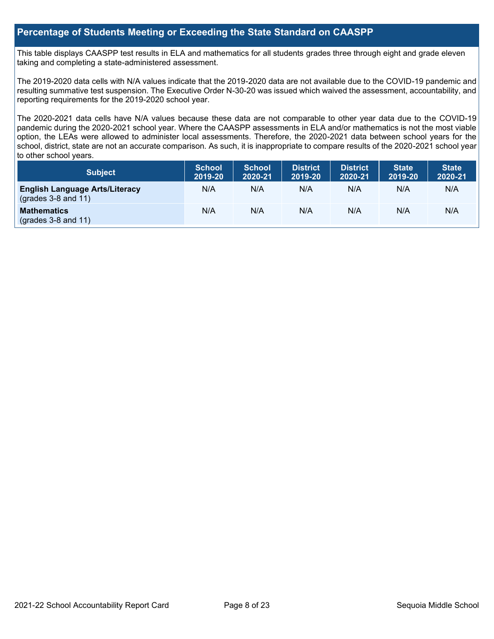### **Percentage of Students Meeting or Exceeding the State Standard on CAASPP**

This table displays CAASPP test results in ELA and mathematics for all students grades three through eight and grade eleven taking and completing a state-administered assessment.

The 2019-2020 data cells with N/A values indicate that the 2019-2020 data are not available due to the COVID-19 pandemic and resulting summative test suspension. The Executive Order N-30-20 was issued which waived the assessment, accountability, and reporting requirements for the 2019-2020 school year.

The 2020-2021 data cells have N/A values because these data are not comparable to other year data due to the COVID-19 pandemic during the 2020-2021 school year. Where the CAASPP assessments in ELA and/or mathematics is not the most viable option, the LEAs were allowed to administer local assessments. Therefore, the 2020-2021 data between school years for the school, district, state are not an accurate comparison. As such, it is inappropriate to compare results of the 2020-2021 school year to other school years.

| Subject                                                              | <b>School</b><br>2019-20 | <b>School</b><br>2020-21 | <b>District</b><br>2019-20 | <b>District</b><br>2020-21 | <b>State</b><br>2019-20 | <b>State</b><br>2020-21 |
|----------------------------------------------------------------------|--------------------------|--------------------------|----------------------------|----------------------------|-------------------------|-------------------------|
| <b>English Language Arts/Literacy</b><br>$\left($ grades 3-8 and 11) | N/A                      | N/A                      | N/A                        | N/A                        | N/A                     | N/A                     |
| <b>Mathematics</b><br>$(grades 3-8 and 11)$                          | N/A                      | N/A                      | N/A                        | N/A                        | N/A                     | N/A                     |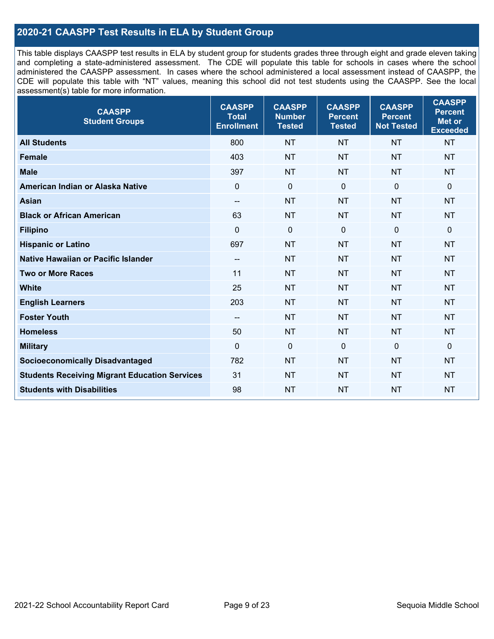## **2020-21 CAASPP Test Results in ELA by Student Group**

This table displays CAASPP test results in ELA by student group for students grades three through eight and grade eleven taking and completing a state-administered assessment. The CDE will populate this table for schools in cases where the school administered the CAASPP assessment. In cases where the school administered a local assessment instead of CAASPP, the CDE will populate this table with "NT" values, meaning this school did not test students using the CAASPP. See the local assessment(s) table for more information.

| 800<br><b>NT</b><br><b>NT</b><br><b>NT</b><br><b>NT</b><br><b>All Students</b><br>403<br><b>NT</b><br><b>NT</b><br><b>NT</b><br><b>NT</b><br><b>Female</b><br><b>Male</b><br><b>NT</b><br><b>NT</b><br><b>NT</b><br>397<br><b>NT</b><br>$\mathbf 0$<br>$\mathbf 0$<br>$\mathbf 0$<br>$\mathbf 0$<br>American Indian or Alaska Native<br>$\mathbf 0$<br><b>Asian</b><br><b>NT</b><br><b>NT</b><br><b>NT</b><br><b>NT</b><br>$\overline{\phantom{a}}$ | <b>CAASPP</b><br><b>Percent</b><br>Met or<br><b>Exceeded</b> |
|-----------------------------------------------------------------------------------------------------------------------------------------------------------------------------------------------------------------------------------------------------------------------------------------------------------------------------------------------------------------------------------------------------------------------------------------------------|--------------------------------------------------------------|
|                                                                                                                                                                                                                                                                                                                                                                                                                                                     |                                                              |
|                                                                                                                                                                                                                                                                                                                                                                                                                                                     |                                                              |
|                                                                                                                                                                                                                                                                                                                                                                                                                                                     |                                                              |
|                                                                                                                                                                                                                                                                                                                                                                                                                                                     |                                                              |
|                                                                                                                                                                                                                                                                                                                                                                                                                                                     |                                                              |
| <b>Black or African American</b><br>63<br><b>NT</b><br><b>NT</b><br><b>NT</b><br><b>NT</b>                                                                                                                                                                                                                                                                                                                                                          |                                                              |
| $\mathbf 0$<br>$\Omega$<br>$\mathbf 0$<br>$\mathbf 0$<br>$\Omega$<br><b>Filipino</b>                                                                                                                                                                                                                                                                                                                                                                |                                                              |
| <b>Hispanic or Latino</b><br>697<br><b>NT</b><br><b>NT</b><br><b>NT</b><br><b>NT</b>                                                                                                                                                                                                                                                                                                                                                                |                                                              |
| <b>Native Hawaiian or Pacific Islander</b><br><b>NT</b><br><b>NT</b><br><b>NT</b><br><b>NT</b><br>$\overline{\phantom{a}}$                                                                                                                                                                                                                                                                                                                          |                                                              |
| 11<br><b>NT</b><br><b>Two or More Races</b><br><b>NT</b><br><b>NT</b><br><b>NT</b>                                                                                                                                                                                                                                                                                                                                                                  |                                                              |
| <b>White</b><br>25<br><b>NT</b><br><b>NT</b><br><b>NT</b><br><b>NT</b>                                                                                                                                                                                                                                                                                                                                                                              |                                                              |
| 203<br><b>NT</b><br><b>NT</b><br><b>NT</b><br><b>NT</b><br><b>English Learners</b>                                                                                                                                                                                                                                                                                                                                                                  |                                                              |
| <b>Foster Youth</b><br><b>NT</b><br><b>NT</b><br><b>NT</b><br><b>NT</b><br>--                                                                                                                                                                                                                                                                                                                                                                       |                                                              |
| <b>Homeless</b><br>50<br><b>NT</b><br><b>NT</b><br><b>NT</b><br><b>NT</b>                                                                                                                                                                                                                                                                                                                                                                           |                                                              |
| $\mathbf 0$<br>$\mathbf 0$<br>$\mathbf 0$<br>$\mathbf 0$<br>0<br><b>Military</b>                                                                                                                                                                                                                                                                                                                                                                    |                                                              |
| <b>Socioeconomically Disadvantaged</b><br>782<br><b>NT</b><br><b>NT</b><br><b>NT</b><br><b>NT</b>                                                                                                                                                                                                                                                                                                                                                   |                                                              |
| <b>Students Receiving Migrant Education Services</b><br>31<br><b>NT</b><br><b>NT</b><br><b>NT</b><br><b>NT</b>                                                                                                                                                                                                                                                                                                                                      |                                                              |
| <b>Students with Disabilities</b><br>98<br><b>NT</b><br><b>NT</b><br><b>NT</b><br><b>NT</b>                                                                                                                                                                                                                                                                                                                                                         |                                                              |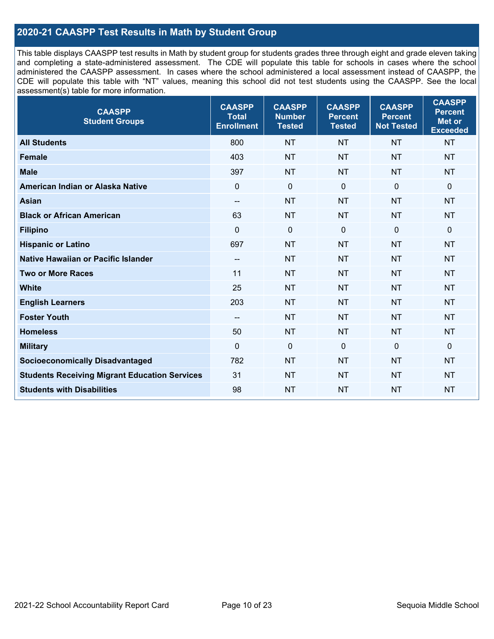## **2020-21 CAASPP Test Results in Math by Student Group**

This table displays CAASPP test results in Math by student group for students grades three through eight and grade eleven taking and completing a state-administered assessment. The CDE will populate this table for schools in cases where the school administered the CAASPP assessment. In cases where the school administered a local assessment instead of CAASPP, the CDE will populate this table with "NT" values, meaning this school did not test students using the CAASPP. See the local assessment(s) table for more information.

| <b>CAASPP</b><br><b>Student Groups</b>               | <b>CAASPP</b><br><b>Total</b><br><b>Enrollment</b> | <b>CAASPP</b><br><b>Number</b><br><b>Tested</b> | <b>CAASPP</b><br><b>Percent</b><br><b>Tested</b> | <b>CAASPP</b><br><b>Percent</b><br><b>Not Tested</b> | <b>CAASPP</b><br><b>Percent</b><br>Met or<br><b>Exceeded</b> |
|------------------------------------------------------|----------------------------------------------------|-------------------------------------------------|--------------------------------------------------|------------------------------------------------------|--------------------------------------------------------------|
| <b>All Students</b>                                  | 800                                                | <b>NT</b>                                       | <b>NT</b>                                        | <b>NT</b>                                            | <b>NT</b>                                                    |
| <b>Female</b>                                        | 403                                                | <b>NT</b>                                       | <b>NT</b>                                        | <b>NT</b>                                            | <b>NT</b>                                                    |
| <b>Male</b>                                          | 397                                                | <b>NT</b>                                       | <b>NT</b>                                        | <b>NT</b>                                            | <b>NT</b>                                                    |
| American Indian or Alaska Native                     | $\mathbf 0$                                        | $\mathbf 0$                                     | $\mathbf 0$                                      | $\overline{0}$                                       | $\mathbf 0$                                                  |
| <b>Asian</b>                                         | $- -$                                              | <b>NT</b>                                       | <b>NT</b>                                        | <b>NT</b>                                            | <b>NT</b>                                                    |
| <b>Black or African American</b>                     | 63                                                 | <b>NT</b>                                       | <b>NT</b>                                        | <b>NT</b>                                            | <b>NT</b>                                                    |
| <b>Filipino</b>                                      | $\mathbf 0$                                        | $\mathbf 0$                                     | $\Omega$                                         | $\mathbf 0$                                          | $\mathbf 0$                                                  |
| <b>Hispanic or Latino</b>                            | 697                                                | <b>NT</b>                                       | <b>NT</b>                                        | <b>NT</b>                                            | <b>NT</b>                                                    |
| Native Hawaiian or Pacific Islander                  | $\overline{\phantom{a}}$                           | <b>NT</b>                                       | <b>NT</b>                                        | <b>NT</b>                                            | <b>NT</b>                                                    |
| <b>Two or More Races</b>                             | 11                                                 | <b>NT</b>                                       | <b>NT</b>                                        | <b>NT</b>                                            | <b>NT</b>                                                    |
| <b>White</b>                                         | 25                                                 | <b>NT</b>                                       | <b>NT</b>                                        | <b>NT</b>                                            | <b>NT</b>                                                    |
| <b>English Learners</b>                              | 203                                                | <b>NT</b>                                       | <b>NT</b>                                        | <b>NT</b>                                            | <b>NT</b>                                                    |
| <b>Foster Youth</b>                                  | $\overline{\phantom{a}}$                           | <b>NT</b>                                       | <b>NT</b>                                        | <b>NT</b>                                            | <b>NT</b>                                                    |
| <b>Homeless</b>                                      | 50                                                 | <b>NT</b>                                       | <b>NT</b>                                        | <b>NT</b>                                            | <b>NT</b>                                                    |
| <b>Military</b>                                      | $\mathbf 0$                                        | $\pmb{0}$                                       | $\mathbf 0$                                      | $\mathbf 0$                                          | $\mathbf 0$                                                  |
| <b>Socioeconomically Disadvantaged</b>               | 782                                                | <b>NT</b>                                       | <b>NT</b>                                        | <b>NT</b>                                            | <b>NT</b>                                                    |
| <b>Students Receiving Migrant Education Services</b> | 31                                                 | <b>NT</b>                                       | <b>NT</b>                                        | <b>NT</b>                                            | NT                                                           |
| <b>Students with Disabilities</b>                    | 98                                                 | <b>NT</b>                                       | <b>NT</b>                                        | <b>NT</b>                                            | <b>NT</b>                                                    |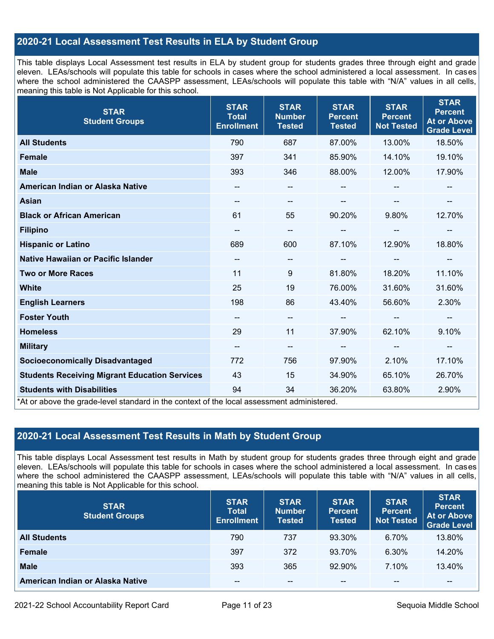## **2020-21 Local Assessment Test Results in ELA by Student Group**

This table displays Local Assessment test results in ELA by student group for students grades three through eight and grade eleven. LEAs/schools will populate this table for schools in cases where the school administered a local assessment. In cases where the school administered the CAASPP assessment, LEAs/schools will populate this table with "N/A" values in all cells, meaning this table is Not Applicable for this school.

| <b>STAR</b><br><b>Student Groups</b>                                                                                            | <b>STAR</b><br><b>Total</b><br><b>Enrollment</b> | <b>STAR</b><br><b>Number</b><br><b>Tested</b> | <b>STAR</b><br><b>Percent</b><br><b>Tested</b> | <b>STAR</b><br><b>Percent</b><br><b>Not Tested</b> | <b>STAR</b><br><b>Percent</b><br><b>At or Above</b><br><b>Grade Level</b> |
|---------------------------------------------------------------------------------------------------------------------------------|--------------------------------------------------|-----------------------------------------------|------------------------------------------------|----------------------------------------------------|---------------------------------------------------------------------------|
| <b>All Students</b>                                                                                                             | 790                                              | 687                                           | 87.00%                                         | 13.00%                                             | 18.50%                                                                    |
| <b>Female</b>                                                                                                                   | 397                                              | 341                                           | 85.90%                                         | 14.10%                                             | 19.10%                                                                    |
| <b>Male</b>                                                                                                                     | 393                                              | 346                                           | 88.00%                                         | 12.00%                                             | 17.90%                                                                    |
| American Indian or Alaska Native                                                                                                | --                                               | $\overline{\phantom{a}}$                      | --                                             |                                                    | --                                                                        |
| <b>Asian</b>                                                                                                                    | $\overline{\phantom{a}}$                         | $\overline{\phantom{a}}$                      |                                                |                                                    |                                                                           |
| <b>Black or African American</b>                                                                                                | 61                                               | 55                                            | 90.20%                                         | 9.80%                                              | 12.70%                                                                    |
| <b>Filipino</b>                                                                                                                 | $\qquad \qquad -$                                | $\overline{\phantom{m}}$                      |                                                | --                                                 | --                                                                        |
| <b>Hispanic or Latino</b>                                                                                                       | 689                                              | 600                                           | 87.10%                                         | 12.90%                                             | 18.80%                                                                    |
| Native Hawaiian or Pacific Islander                                                                                             | $\overline{\phantom{a}}$                         | $\overline{\phantom{m}}$                      |                                                | --                                                 |                                                                           |
| <b>Two or More Races</b>                                                                                                        | 11                                               | 9                                             | 81.80%                                         | 18.20%                                             | 11.10%                                                                    |
| <b>White</b>                                                                                                                    | 25                                               | 19                                            | 76.00%                                         | 31.60%                                             | 31.60%                                                                    |
| <b>English Learners</b>                                                                                                         | 198                                              | 86                                            | 43.40%                                         | 56.60%                                             | 2.30%                                                                     |
| <b>Foster Youth</b>                                                                                                             | --                                               | $\overline{\phantom{a}}$                      |                                                | $\overline{\phantom{a}}$                           | --                                                                        |
| <b>Homeless</b>                                                                                                                 | 29                                               | 11                                            | 37.90%                                         | 62.10%                                             | 9.10%                                                                     |
| <b>Military</b>                                                                                                                 | --                                               | $\overline{\phantom{a}}$                      | --                                             | $\overline{\phantom{a}}$                           | $\overline{\phantom{a}}$                                                  |
| <b>Socioeconomically Disadvantaged</b>                                                                                          | 772                                              | 756                                           | 97.90%                                         | 2.10%                                              | 17.10%                                                                    |
| <b>Students Receiving Migrant Education Services</b>                                                                            | 43                                               | 15                                            | 34.90%                                         | 65.10%                                             | 26.70%                                                                    |
| <b>Students with Disabilities</b><br>*At or above the grade-level standard in the context of the local assessment administered. | 94                                               | 34                                            | 36.20%                                         | 63.80%                                             | 2.90%                                                                     |

## **2020-21 Local Assessment Test Results in Math by Student Group**

This table displays Local Assessment test results in Math by student group for students grades three through eight and grade eleven. LEAs/schools will populate this table for schools in cases where the school administered a local assessment. In cases where the school administered the CAASPP assessment, LEAs/schools will populate this table with "N/A" values in all cells, meaning this table is Not Applicable for this school.

| <b>STAR</b><br><b>Student Groups</b> | <b>STAR</b><br><b>Total</b><br><b>Enrollment</b> | <b>STAR</b><br><b>Number</b><br><b>Tested</b> | <b>STAR</b><br><b>Percent</b><br><b>Tested</b> | <b>STAR</b><br><b>Percent</b><br><b>Not Tested</b> | <b>STAR</b><br><b>Percent</b><br><b>At or Above</b><br><b>Grade Level</b> |
|--------------------------------------|--------------------------------------------------|-----------------------------------------------|------------------------------------------------|----------------------------------------------------|---------------------------------------------------------------------------|
| <b>All Students</b>                  | 790                                              | 737                                           | 93.30%                                         | 6.70%                                              | 13.80%                                                                    |
| <b>Female</b>                        | 397                                              | 372                                           | 93.70%                                         | 6.30%                                              | 14.20%                                                                    |
| <b>Male</b>                          | 393                                              | 365                                           | 92.90%                                         | 7.10%                                              | 13.40%                                                                    |
| American Indian or Alaska Native     | --                                               | $- -$                                         | $- -$                                          | $- -$                                              | $\overline{\phantom{m}}$                                                  |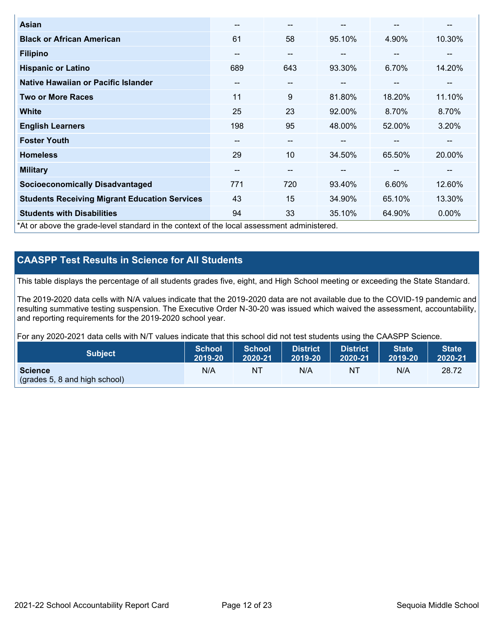| Asian                                                                                      | --  | $\overline{\phantom{m}}$ | --     | --                       | --     |
|--------------------------------------------------------------------------------------------|-----|--------------------------|--------|--------------------------|--------|
| <b>Black or African American</b>                                                           | 61  | 58                       | 95.10% | 4.90%                    | 10.30% |
| <b>Filipino</b>                                                                            | --  | $\overline{\phantom{m}}$ | --     | $\overline{\phantom{m}}$ | --     |
| <b>Hispanic or Latino</b>                                                                  | 689 | 643                      | 93.30% | 6.70%                    | 14.20% |
| <b>Native Hawaiian or Pacific Islander</b>                                                 | --  | $\overline{\phantom{m}}$ | --     | $\sim$                   | --     |
| <b>Two or More Races</b>                                                                   | 11  | 9                        | 81.80% | 18.20%                   | 11.10% |
| <b>White</b>                                                                               | 25  | 23                       | 92.00% | 8.70%                    | 8.70%  |
| <b>English Learners</b>                                                                    | 198 | 95                       | 48.00% | 52.00%                   | 3.20%  |
| <b>Foster Youth</b>                                                                        | --  | $\overline{\phantom{m}}$ |        | --                       | --     |
| <b>Homeless</b>                                                                            | 29  | 10                       | 34.50% | 65.50%                   | 20.00% |
| <b>Military</b>                                                                            | --  | $- -$                    | --     | --                       | --     |
| <b>Socioeconomically Disadvantaged</b>                                                     | 771 | 720                      | 93.40% | 6.60%                    | 12.60% |
| <b>Students Receiving Migrant Education Services</b>                                       | 43  | 15                       | 34.90% | 65.10%                   | 13.30% |
| <b>Students with Disabilities</b>                                                          | 94  | 33                       | 35.10% | 64.90%                   | 0.00%  |
| *At or above the grade-level standard in the context of the local assessment administered. |     |                          |        |                          |        |

## **CAASPP Test Results in Science for All Students**

This table displays the percentage of all students grades five, eight, and High School meeting or exceeding the State Standard.

The 2019-2020 data cells with N/A values indicate that the 2019-2020 data are not available due to the COVID-19 pandemic and resulting summative testing suspension. The Executive Order N-30-20 was issued which waived the assessment, accountability, and reporting requirements for the 2019-2020 school year.

For any 2020-2021 data cells with N/T values indicate that this school did not test students using the CAASPP Science.

| <b>Subject</b>                                           | <b>School</b> | <b>School</b> | <b>District</b> | District | <b>State</b> | <b>State</b> |
|----------------------------------------------------------|---------------|---------------|-----------------|----------|--------------|--------------|
|                                                          | 2019-20       | 2020-21       | 2019-20         | 2020-21  | 2019-20      | 2020-21      |
| <b>Science</b><br>$\left($ (grades 5, 8 and high school) | N/A           | NT            | N/A             | NT       | N/A          | 28.72        |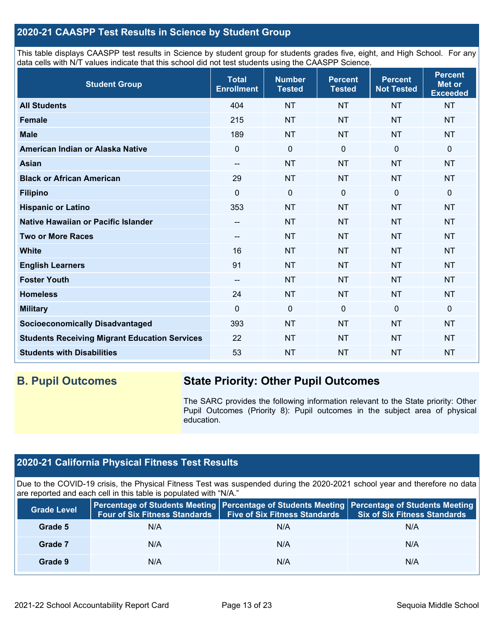## **2020-21 CAASPP Test Results in Science by Student Group**

This table displays CAASPP test results in Science by student group for students grades five, eight, and High School. For any data cells with N/T values indicate that this school did not test students using the CAASPP Science.

| <b>Student Group</b>                                 | <b>Total</b><br><b>Enrollment</b> | <b>Number</b><br><b>Tested</b> | <b>Percent</b><br><b>Tested</b> | <b>Percent</b><br><b>Not Tested</b> | <b>Percent</b><br>Met or<br><b>Exceeded</b> |
|------------------------------------------------------|-----------------------------------|--------------------------------|---------------------------------|-------------------------------------|---------------------------------------------|
| <b>All Students</b>                                  | 404                               | <b>NT</b>                      | <b>NT</b>                       | <b>NT</b>                           | <b>NT</b>                                   |
| <b>Female</b>                                        | 215                               | <b>NT</b>                      | <b>NT</b>                       | <b>NT</b>                           | <b>NT</b>                                   |
| <b>Male</b>                                          | 189                               | <b>NT</b>                      | <b>NT</b>                       | <b>NT</b>                           | <b>NT</b>                                   |
| American Indian or Alaska Native                     | $\mathbf 0$                       | $\mathbf 0$                    | $\mathbf{0}$                    | $\mathbf 0$                         | 0                                           |
| <b>Asian</b>                                         | --                                | <b>NT</b>                      | <b>NT</b>                       | <b>NT</b>                           | <b>NT</b>                                   |
| <b>Black or African American</b>                     | 29                                | <b>NT</b>                      | <b>NT</b>                       | <b>NT</b>                           | <b>NT</b>                                   |
| <b>Filipino</b>                                      | $\mathbf 0$                       | $\boldsymbol{0}$               | $\mathbf 0$                     | $\mathbf 0$                         | 0                                           |
| <b>Hispanic or Latino</b>                            | 353                               | <b>NT</b>                      | <b>NT</b>                       | <b>NT</b>                           | <b>NT</b>                                   |
| Native Hawaiian or Pacific Islander                  | --                                | <b>NT</b>                      | <b>NT</b>                       | <b>NT</b>                           | <b>NT</b>                                   |
| <b>Two or More Races</b>                             | --                                | <b>NT</b>                      | <b>NT</b>                       | <b>NT</b>                           | <b>NT</b>                                   |
| <b>White</b>                                         | 16                                | <b>NT</b>                      | <b>NT</b>                       | <b>NT</b>                           | <b>NT</b>                                   |
| <b>English Learners</b>                              | 91                                | <b>NT</b>                      | <b>NT</b>                       | <b>NT</b>                           | <b>NT</b>                                   |
| <b>Foster Youth</b>                                  | $\qquad \qquad -$                 | <b>NT</b>                      | <b>NT</b>                       | <b>NT</b>                           | <b>NT</b>                                   |
| <b>Homeless</b>                                      | 24                                | <b>NT</b>                      | <b>NT</b>                       | <b>NT</b>                           | <b>NT</b>                                   |
| <b>Military</b>                                      | $\mathbf{0}$                      | $\mathbf 0$                    | $\mathbf 0$                     | $\mathbf 0$                         | 0                                           |
| <b>Socioeconomically Disadvantaged</b>               | 393                               | <b>NT</b>                      | <b>NT</b>                       | <b>NT</b>                           | <b>NT</b>                                   |
| <b>Students Receiving Migrant Education Services</b> | 22                                | <b>NT</b>                      | <b>NT</b>                       | <b>NT</b>                           | <b>NT</b>                                   |
| <b>Students with Disabilities</b>                    | 53                                | <b>NT</b>                      | <b>NT</b>                       | <b>NT</b>                           | <b>NT</b>                                   |

## **B. Pupil Outcomes State Priority: Other Pupil Outcomes**

The SARC provides the following information relevant to the State priority: Other Pupil Outcomes (Priority 8): Pupil outcomes in the subject area of physical education.

## **2020-21 California Physical Fitness Test Results**

Due to the COVID-19 crisis, the Physical Fitness Test was suspended during the 2020-2021 school year and therefore no data are reported and each cell in this table is populated with "N/A."

| <b>Grade Level</b> | Four of Six Fitness Standards | <b>Five of Six Fitness Standards</b> | Percentage of Students Meeting   Percentage of Students Meeting   Percentage of Students Meeting<br><b>Six of Six Fitness Standards</b> |
|--------------------|-------------------------------|--------------------------------------|-----------------------------------------------------------------------------------------------------------------------------------------|
| Grade 5            | N/A                           | N/A                                  | N/A                                                                                                                                     |
| Grade 7            | N/A                           | N/A                                  | N/A                                                                                                                                     |
| Grade 9            | N/A                           | N/A                                  | N/A                                                                                                                                     |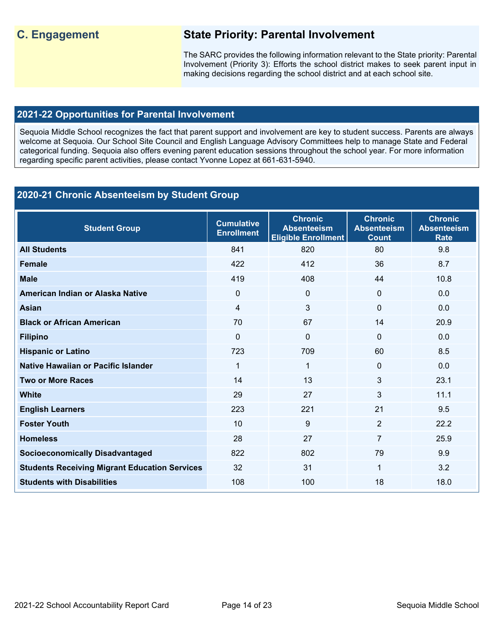## **C. Engagement State Priority: Parental Involvement**

The SARC provides the following information relevant to the State priority: Parental Involvement (Priority 3): Efforts the school district makes to seek parent input in making decisions regarding the school district and at each school site.

## **2021-22 Opportunities for Parental Involvement**

Sequoia Middle School recognizes the fact that parent support and involvement are key to student success. Parents are always welcome at Sequoia. Our School Site Council and English Language Advisory Committees help to manage State and Federal categorical funding. Sequoia also offers evening parent education sessions throughout the school year. For more information regarding specific parent activities, please contact Yvonne Lopez at 661-631-5940.

## **2020-21 Chronic Absenteeism by Student Group**

| <b>Student Group</b>                                 | <b>Cumulative</b><br><b>Enrollment</b> | <b>Chronic</b><br><b>Absenteeism</b><br><b>Eligible Enrollment</b> | <b>Chronic</b><br><b>Absenteeism</b><br><b>Count</b> | <b>Chronic</b><br><b>Absenteeism</b><br><b>Rate</b> |
|------------------------------------------------------|----------------------------------------|--------------------------------------------------------------------|------------------------------------------------------|-----------------------------------------------------|
| <b>All Students</b>                                  | 841                                    | 820                                                                | 80                                                   | 9.8                                                 |
| <b>Female</b>                                        | 422                                    | 412                                                                | 36                                                   | 8.7                                                 |
| <b>Male</b>                                          | 419                                    | 408                                                                | 44                                                   | 10.8                                                |
| American Indian or Alaska Native                     | $\Omega$                               | $\mathbf{0}$                                                       | $\Omega$                                             | 0.0                                                 |
| <b>Asian</b>                                         | $\overline{4}$                         | 3                                                                  | $\Omega$                                             | 0.0                                                 |
| <b>Black or African American</b>                     | 70                                     | 67                                                                 | 14                                                   | 20.9                                                |
| <b>Filipino</b>                                      | $\mathbf 0$                            | $\mathbf{0}$                                                       | $\Omega$                                             | 0.0                                                 |
| <b>Hispanic or Latino</b>                            | 723                                    | 709                                                                | 60                                                   | 8.5                                                 |
| Native Hawaiian or Pacific Islander                  | 1                                      | $\mathbf{1}$                                                       | $\Omega$                                             | 0.0                                                 |
| <b>Two or More Races</b>                             | 14                                     | 13                                                                 | 3                                                    | 23.1                                                |
| <b>White</b>                                         | 29                                     | 27                                                                 | 3                                                    | 11.1                                                |
| <b>English Learners</b>                              | 223                                    | 221                                                                | 21                                                   | 9.5                                                 |
| <b>Foster Youth</b>                                  | 10                                     | 9                                                                  | $\overline{2}$                                       | 22.2                                                |
| <b>Homeless</b>                                      | 28                                     | 27                                                                 | 7                                                    | 25.9                                                |
| <b>Socioeconomically Disadvantaged</b>               | 822                                    | 802                                                                | 79                                                   | 9.9                                                 |
| <b>Students Receiving Migrant Education Services</b> | 32                                     | 31                                                                 | $\mathbf{1}$                                         | 3.2                                                 |
| <b>Students with Disabilities</b>                    | 108                                    | 100                                                                | 18                                                   | 18.0                                                |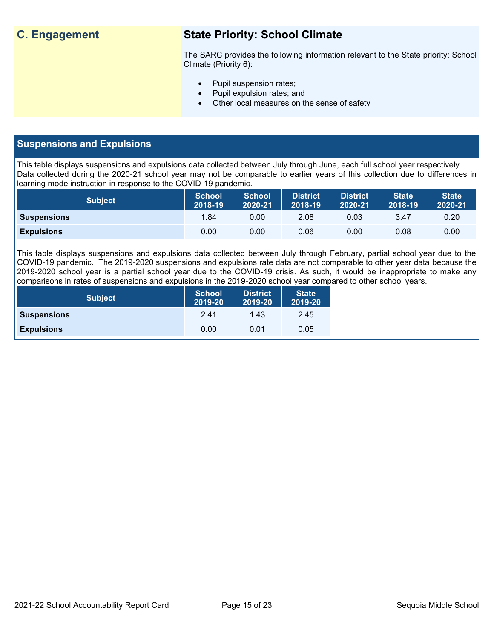## **C. Engagement State Priority: School Climate**

The SARC provides the following information relevant to the State priority: School Climate (Priority 6):

- Pupil suspension rates;
- Pupil expulsion rates; and
- Other local measures on the sense of safety

## **Suspensions and Expulsions**

This table displays suspensions and expulsions data collected between July through June, each full school year respectively. Data collected during the 2020-21 school year may not be comparable to earlier years of this collection due to differences in learning mode instruction in response to the COVID-19 pandemic.

| <b>Subject</b>     | <b>School</b><br>2018-19 | <b>School</b><br>2020-21 | <b>District</b><br>2018-19 | <b>District</b><br>2020-21 | <b>State</b><br>2018-19 | <b>State</b><br>2020-21 |
|--------------------|--------------------------|--------------------------|----------------------------|----------------------------|-------------------------|-------------------------|
| <b>Suspensions</b> | 1.84                     | 0.00                     | 2.08                       | 0.03                       | 3.47                    | 0.20                    |
| <b>Expulsions</b>  | 0.00                     | 0.00                     | 0.06                       | 0.00                       | 0.08                    | 0.00                    |

This table displays suspensions and expulsions data collected between July through February, partial school year due to the COVID-19 pandemic. The 2019-2020 suspensions and expulsions rate data are not comparable to other year data because the 2019-2020 school year is a partial school year due to the COVID-19 crisis. As such, it would be inappropriate to make any comparisons in rates of suspensions and expulsions in the 2019-2020 school year compared to other school years.

| <b>Subject</b>     | School<br>2019-20 | <b>District</b><br>2019-20 | <b>State</b><br>2019-20 |
|--------------------|-------------------|----------------------------|-------------------------|
| <b>Suspensions</b> | 2.41              | 1.43                       | 2.45                    |
| <b>Expulsions</b>  | 0.00              | 0.01                       | 0.05                    |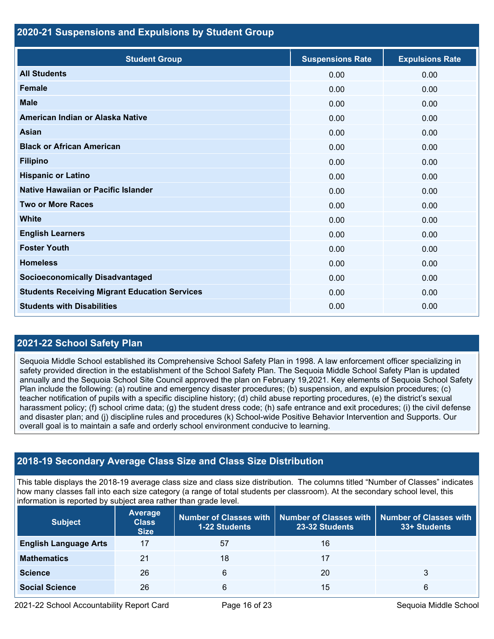## **2020-21 Suspensions and Expulsions by Student Group**

| <b>Student Group</b>                                 | <b>Suspensions Rate</b> | <b>Expulsions Rate</b> |
|------------------------------------------------------|-------------------------|------------------------|
| <b>All Students</b>                                  | 0.00                    | 0.00                   |
| <b>Female</b>                                        | 0.00                    | 0.00                   |
| <b>Male</b>                                          | 0.00                    | 0.00                   |
| American Indian or Alaska Native                     | 0.00                    | 0.00                   |
| Asian                                                | 0.00                    | 0.00                   |
| <b>Black or African American</b>                     | 0.00                    | 0.00                   |
| <b>Filipino</b>                                      | 0.00                    | 0.00                   |
| <b>Hispanic or Latino</b>                            | 0.00                    | 0.00                   |
| Native Hawaiian or Pacific Islander                  | 0.00                    | 0.00                   |
| <b>Two or More Races</b>                             | 0.00                    | 0.00                   |
| <b>White</b>                                         | 0.00                    | 0.00                   |
| <b>English Learners</b>                              | 0.00                    | 0.00                   |
| <b>Foster Youth</b>                                  | 0.00                    | 0.00                   |
| <b>Homeless</b>                                      | 0.00                    | 0.00                   |
| <b>Socioeconomically Disadvantaged</b>               | 0.00                    | 0.00                   |
| <b>Students Receiving Migrant Education Services</b> | 0.00                    | 0.00                   |
| <b>Students with Disabilities</b>                    | 0.00                    | 0.00                   |

## **2021-22 School Safety Plan**

Sequoia Middle School established its Comprehensive School Safety Plan in 1998. A law enforcement officer specializing in safety provided direction in the establishment of the School Safety Plan. The Sequoia Middle School Safety Plan is updated annually and the Sequoia School Site Council approved the plan on February 19,2021. Key elements of Sequoia School Safety Plan include the following: (a) routine and emergency disaster procedures; (b) suspension, and expulsion procedures; (c) teacher notification of pupils with a specific discipline history; (d) child abuse reporting procedures, (e) the district's sexual harassment policy; (f) school crime data; (g) the student dress code; (h) safe entrance and exit procedures; (i) the civil defense and disaster plan; and (j) discipline rules and procedures (k) School-wide Positive Behavior Intervention and Supports. Our overall goal is to maintain a safe and orderly school environment conducive to learning.

## **2018-19 Secondary Average Class Size and Class Size Distribution**

This table displays the 2018-19 average class size and class size distribution. The columns titled "Number of Classes" indicates how many classes fall into each size category (a range of total students per classroom). At the secondary school level, this information is reported by subject area rather than grade level.

| <b>Subject</b>               | <b>Average</b><br><b>Class</b><br><b>Size</b> | Number of Classes with  <br><b>1-22 Students</b> | 23-32 Students | Number of Classes with   Number of Classes with<br>33+ Students |
|------------------------------|-----------------------------------------------|--------------------------------------------------|----------------|-----------------------------------------------------------------|
| <b>English Language Arts</b> | 17                                            | 57                                               | 16             |                                                                 |
| <b>Mathematics</b>           | 21                                            | 18                                               | 17             |                                                                 |
| <b>Science</b>               | 26                                            | 6                                                | 20             |                                                                 |
| <b>Social Science</b>        | 26                                            | 6                                                | 15             | 6                                                               |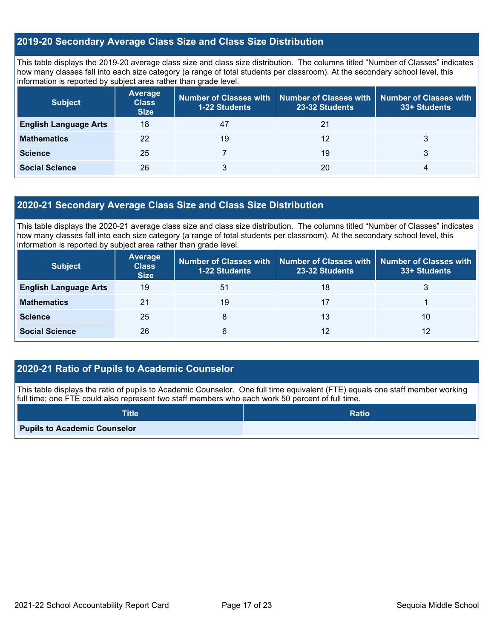## **2019-20 Secondary Average Class Size and Class Size Distribution**

This table displays the 2019-20 average class size and class size distribution. The columns titled "Number of Classes" indicates how many classes fall into each size category (a range of total students per classroom). At the secondary school level, this information is reported by subject area rather than grade level.

| <b>Subject</b>               | <b>Average</b><br><b>Class</b><br><b>Size</b> | Number of Classes with   Number of Classes with   Number of Classes with<br>23-32 Students<br><b>1-22 Students</b> |    | 33+ Students |  |
|------------------------------|-----------------------------------------------|--------------------------------------------------------------------------------------------------------------------|----|--------------|--|
| <b>English Language Arts</b> | 18                                            | 47                                                                                                                 | 21 |              |  |
| <b>Mathematics</b>           | 22                                            | 19                                                                                                                 | 12 |              |  |
| <b>Science</b>               | 25                                            |                                                                                                                    | 19 | 3            |  |
| <b>Social Science</b>        | 26                                            |                                                                                                                    | 20 |              |  |

### **2020-21 Secondary Average Class Size and Class Size Distribution**

This table displays the 2020-21 average class size and class size distribution. The columns titled "Number of Classes" indicates how many classes fall into each size category (a range of total students per classroom). At the secondary school level, this information is reported by subject area rather than grade level.

| <b>Subject</b>               | <b>Average</b><br><b>Class</b><br><b>Size</b> | 1-22 Students | Number of Classes with Number of Classes with<br>23-32 Students | <b>Number of Classes with</b><br>33+ Students |
|------------------------------|-----------------------------------------------|---------------|-----------------------------------------------------------------|-----------------------------------------------|
| <b>English Language Arts</b> | 19                                            | 51            | 18                                                              |                                               |
| <b>Mathematics</b>           | 21                                            | 19            | 17                                                              |                                               |
| <b>Science</b>               | 25                                            | 8             | 13                                                              | 10                                            |
| <b>Social Science</b>        | 26                                            | 6             | 12                                                              | 12                                            |

## **2020-21 Ratio of Pupils to Academic Counselor**

This table displays the ratio of pupils to Academic Counselor. One full time equivalent (FTE) equals one staff member working full time; one FTE could also represent two staff members who each work 50 percent of full time.

| <b>Title</b>                        | <b>Ratio</b> |
|-------------------------------------|--------------|
| <b>Pupils to Academic Counselor</b> |              |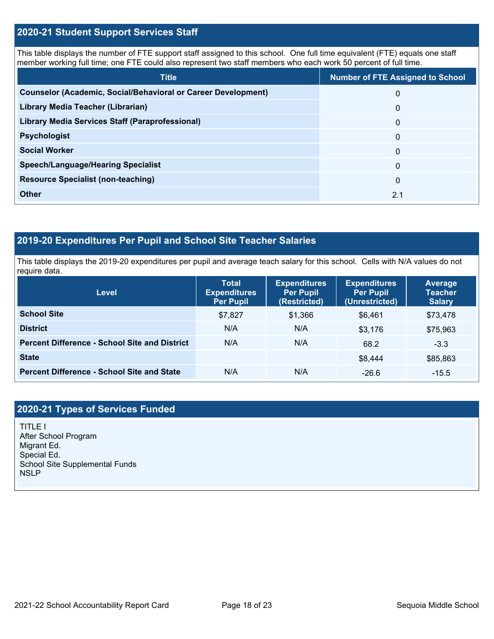## **2020-21 Student Support Services Staff**

This table displays the number of FTE support staff assigned to this school. One full time equivalent (FTE) equals one staff member working full time; one FTE could also represent two staff members who each work 50 percent of full time.

| <b>Title</b>                                                         | <b>Number of FTE Assigned to School</b> |
|----------------------------------------------------------------------|-----------------------------------------|
| <b>Counselor (Academic, Social/Behavioral or Career Development)</b> | 0                                       |
| Library Media Teacher (Librarian)                                    | $\mathbf{0}$                            |
| <b>Library Media Services Staff (Paraprofessional)</b>               | $\mathbf 0$                             |
| <b>Psychologist</b>                                                  | $\mathbf 0$                             |
| <b>Social Worker</b>                                                 | $\Omega$                                |
| <b>Speech/Language/Hearing Specialist</b>                            | $\Omega$                                |
| <b>Resource Specialist (non-teaching)</b>                            | $\mathbf{0}$                            |
| <b>Other</b>                                                         | 2.1                                     |

## **2019-20 Expenditures Per Pupil and School Site Teacher Salaries**

This table displays the 2019-20 expenditures per pupil and average teach salary for this school. Cells with N/A values do not require data.

| Level                                                | <b>Expenditures</b><br><b>Total</b><br><b>Per Pupil</b><br><b>Expenditures</b><br>(Restricted)<br><b>Per Pupil</b> |         | <b>Expenditures</b><br><b>Per Pupil</b><br>(Unrestricted) | Average<br><b>Teacher</b><br><b>Salary</b> |  |
|------------------------------------------------------|--------------------------------------------------------------------------------------------------------------------|---------|-----------------------------------------------------------|--------------------------------------------|--|
| <b>School Site</b>                                   | \$7,827                                                                                                            | \$1,366 | \$6,461                                                   | \$73,478                                   |  |
| <b>District</b>                                      | N/A                                                                                                                | N/A     | \$3,176                                                   | \$75,963                                   |  |
| <b>Percent Difference - School Site and District</b> | N/A                                                                                                                | N/A     | 68.2                                                      | $-3.3$                                     |  |
| <b>State</b>                                         |                                                                                                                    |         | \$8,444                                                   | \$85,863                                   |  |
| <b>Percent Difference - School Site and State</b>    | N/A                                                                                                                | N/A     | $-26.6$                                                   | $-15.5$                                    |  |

## **2020-21 Types of Services Funded**

TITLE I After School Program Migrant Ed. Special Ed. School Site Supplemental Funds NSLP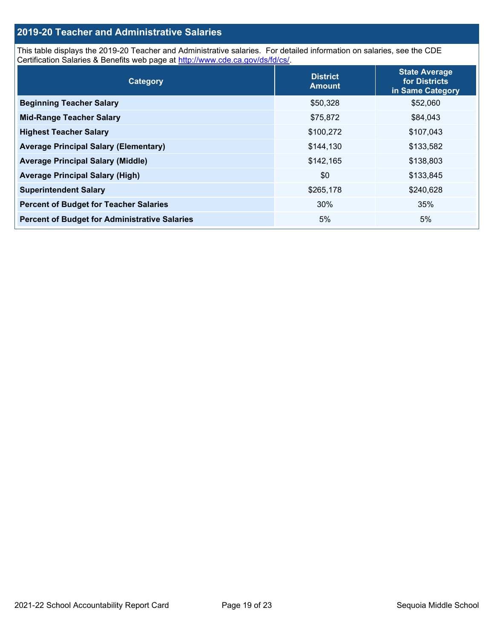## **2019-20 Teacher and Administrative Salaries**

This table displays the 2019-20 Teacher and Administrative salaries. For detailed information on salaries, see the CDE Certification Salaries & Benefits web page at [http://www.cde.ca.gov/ds/fd/cs/.](http://www.cde.ca.gov/ds/fd/cs/)

| Category                                             | <b>District</b><br><b>Amount</b> | <b>State Average</b><br>for Districts<br>in Same Category |
|------------------------------------------------------|----------------------------------|-----------------------------------------------------------|
| <b>Beginning Teacher Salary</b>                      | \$50,328                         | \$52,060                                                  |
| <b>Mid-Range Teacher Salary</b>                      | \$75,872                         | \$84,043                                                  |
| <b>Highest Teacher Salary</b>                        | \$100,272                        | \$107,043                                                 |
| <b>Average Principal Salary (Elementary)</b>         | \$144,130                        | \$133,582                                                 |
| <b>Average Principal Salary (Middle)</b>             | \$142,165                        | \$138,803                                                 |
| <b>Average Principal Salary (High)</b>               | \$0                              | \$133,845                                                 |
| <b>Superintendent Salary</b>                         | \$265,178                        | \$240,628                                                 |
| <b>Percent of Budget for Teacher Salaries</b>        | 30%                              | 35%                                                       |
| <b>Percent of Budget for Administrative Salaries</b> | 5%                               | 5%                                                        |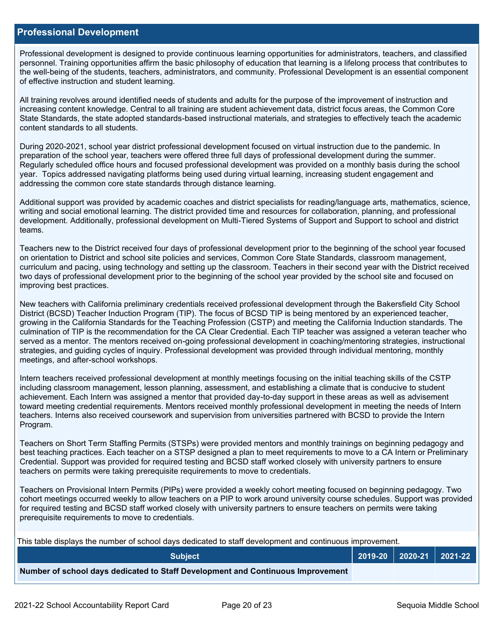#### **Professional Development**

Professional development is designed to provide continuous learning opportunities for administrators, teachers, and classified personnel. Training opportunities affirm the basic philosophy of education that learning is a lifelong process that contributes to the well-being of the students, teachers, administrators, and community. Professional Development is an essential component of effective instruction and student learning.

All training revolves around identified needs of students and adults for the purpose of the improvement of instruction and increasing content knowledge. Central to all training are student achievement data, district focus areas, the Common Core State Standards, the state adopted standards-based instructional materials, and strategies to effectively teach the academic content standards to all students.

During 2020-2021, school year district professional development focused on virtual instruction due to the pandemic. In preparation of the school year, teachers were offered three full days of professional development during the summer. Regularly scheduled office hours and focused professional development was provided on a monthly basis during the school year. Topics addressed navigating platforms being used during virtual learning, increasing student engagement and addressing the common core state standards through distance learning.

Additional support was provided by academic coaches and district specialists for reading/language arts, mathematics, science, writing and social emotional learning. The district provided time and resources for collaboration, planning, and professional development. Additionally, professional development on Multi-Tiered Systems of Support and Support to school and district teams.

Teachers new to the District received four days of professional development prior to the beginning of the school year focused on orientation to District and school site policies and services, Common Core State Standards, classroom management, curriculum and pacing, using technology and setting up the classroom. Teachers in their second year with the District received two days of professional development prior to the beginning of the school year provided by the school site and focused on improving best practices.

New teachers with California preliminary credentials received professional development through the Bakersfield City School District (BCSD) Teacher Induction Program (TIP). The focus of BCSD TIP is being mentored by an experienced teacher, growing in the California Standards for the Teaching Profession (CSTP) and meeting the California Induction standards. The culmination of TIP is the recommendation for the CA Clear Credential. Each TIP teacher was assigned a veteran teacher who served as a mentor. The mentors received on-going professional development in coaching/mentoring strategies, instructional strategies, and guiding cycles of inquiry. Professional development was provided through individual mentoring, monthly meetings, and after-school workshops.

Intern teachers received professional development at monthly meetings focusing on the initial teaching skills of the CSTP including classroom management, lesson planning, assessment, and establishing a climate that is conducive to student achievement. Each Intern was assigned a mentor that provided day-to-day support in these areas as well as advisement toward meeting credential requirements. Mentors received monthly professional development in meeting the needs of Intern teachers. Interns also received coursework and supervision from universities partnered with BCSD to provide the Intern Program.

Teachers on Short Term Staffing Permits (STSPs) were provided mentors and monthly trainings on beginning pedagogy and best teaching practices. Each teacher on a STSP designed a plan to meet requirements to move to a CA Intern or Preliminary Credential. Support was provided for required testing and BCSD staff worked closely with university partners to ensure teachers on permits were taking prerequisite requirements to move to credentials.

Teachers on Provisional Intern Permits (PIPs) were provided a weekly cohort meeting focused on beginning pedagogy. Two cohort meetings occurred weekly to allow teachers on a PIP to work around university course schedules. Support was provided for required testing and BCSD staff worked closely with university partners to ensure teachers on permits were taking prerequisite requirements to move to credentials.

This table displays the number of school days dedicated to staff development and continuous improvement.

| <b>Subject</b>                                                                  |  | $2019-20$ 2020-21 2021-22 |
|---------------------------------------------------------------------------------|--|---------------------------|
| Number of school days dedicated to Staff Development and Continuous Improvement |  |                           |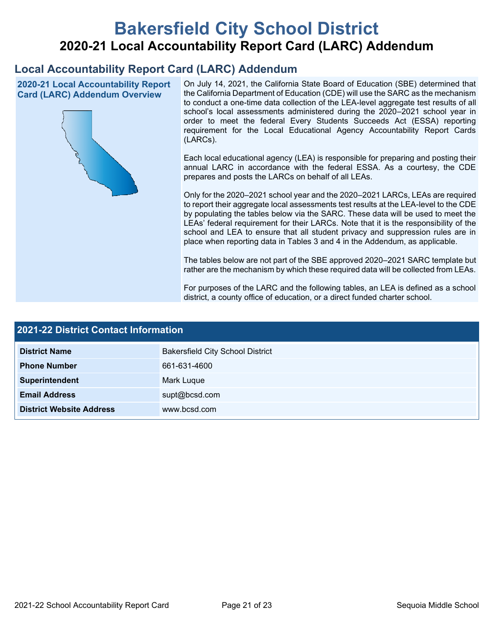# **Bakersfield City School District 2020-21 Local Accountability Report Card (LARC) Addendum**

## **Local Accountability Report Card (LARC) Addendum**

**2020-21 Local Accountability Report Card (LARC) Addendum Overview**



On July 14, 2021, the California State Board of Education (SBE) determined that the California Department of Education (CDE) will use the SARC as the mechanism to conduct a one-time data collection of the LEA-level aggregate test results of all school's local assessments administered during the 2020–2021 school year in order to meet the federal Every Students Succeeds Act (ESSA) reporting requirement for the Local Educational Agency Accountability Report Cards (LARCs).

Each local educational agency (LEA) is responsible for preparing and posting their annual LARC in accordance with the federal ESSA. As a courtesy, the CDE prepares and posts the LARCs on behalf of all LEAs.

Only for the 2020–2021 school year and the 2020–2021 LARCs, LEAs are required to report their aggregate local assessments test results at the LEA-level to the CDE by populating the tables below via the SARC. These data will be used to meet the LEAs' federal requirement for their LARCs. Note that it is the responsibility of the school and LEA to ensure that all student privacy and suppression rules are in place when reporting data in Tables 3 and 4 in the Addendum, as applicable.

The tables below are not part of the SBE approved 2020–2021 SARC template but rather are the mechanism by which these required data will be collected from LEAs.

For purposes of the LARC and the following tables, an LEA is defined as a school district, a county office of education, or a direct funded charter school.

| <b>2021-22 District Contact Information</b> |                                         |  |  |  |
|---------------------------------------------|-----------------------------------------|--|--|--|
| <b>District Name</b>                        | <b>Bakersfield City School District</b> |  |  |  |
| <b>Phone Number</b>                         | 661-631-4600                            |  |  |  |
| Superintendent                              | Mark Luque                              |  |  |  |
| <b>Email Address</b>                        | supt@bcsd.com                           |  |  |  |
| <b>District Website Address</b>             | www.bcsd.com                            |  |  |  |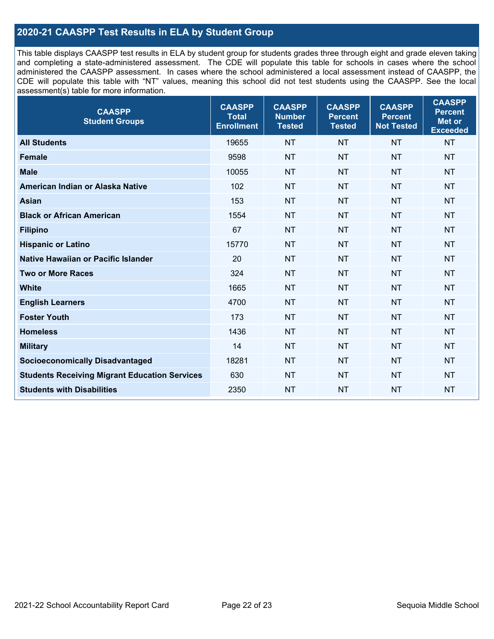## **2020-21 CAASPP Test Results in ELA by Student Group**

This table displays CAASPP test results in ELA by student group for students grades three through eight and grade eleven taking and completing a state-administered assessment. The CDE will populate this table for schools in cases where the school administered the CAASPP assessment. In cases where the school administered a local assessment instead of CAASPP, the CDE will populate this table with "NT" values, meaning this school did not test students using the CAASPP. See the local assessment(s) table for more information.

| <b>CAASPP</b><br><b>Student Groups</b>               | <b>CAASPP</b><br><b>Total</b><br><b>Enrollment</b> | <b>CAASPP</b><br><b>Number</b><br><b>Tested</b> | <b>CAASPP</b><br><b>Percent</b><br><b>Tested</b> | <b>CAASPP</b><br><b>Percent</b><br><b>Not Tested</b> | <b>CAASPP</b><br><b>Percent</b><br>Met or<br><b>Exceeded</b> |
|------------------------------------------------------|----------------------------------------------------|-------------------------------------------------|--------------------------------------------------|------------------------------------------------------|--------------------------------------------------------------|
| <b>All Students</b>                                  | 19655                                              | <b>NT</b>                                       | <b>NT</b>                                        | <b>NT</b>                                            | <b>NT</b>                                                    |
| <b>Female</b>                                        | 9598                                               | <b>NT</b>                                       | <b>NT</b>                                        | <b>NT</b>                                            | <b>NT</b>                                                    |
| <b>Male</b>                                          | 10055                                              | <b>NT</b>                                       | <b>NT</b>                                        | <b>NT</b>                                            | <b>NT</b>                                                    |
| American Indian or Alaska Native                     | 102                                                | <b>NT</b>                                       | <b>NT</b>                                        | <b>NT</b>                                            | <b>NT</b>                                                    |
| <b>Asian</b>                                         | 153                                                | <b>NT</b>                                       | <b>NT</b>                                        | <b>NT</b>                                            | <b>NT</b>                                                    |
| <b>Black or African American</b>                     | 1554                                               | <b>NT</b>                                       | <b>NT</b>                                        | <b>NT</b>                                            | <b>NT</b>                                                    |
| <b>Filipino</b>                                      | 67                                                 | <b>NT</b>                                       | <b>NT</b>                                        | <b>NT</b>                                            | <b>NT</b>                                                    |
| <b>Hispanic or Latino</b>                            | 15770                                              | <b>NT</b>                                       | <b>NT</b>                                        | <b>NT</b>                                            | <b>NT</b>                                                    |
| Native Hawaiian or Pacific Islander                  | 20                                                 | <b>NT</b>                                       | <b>NT</b>                                        | <b>NT</b>                                            | <b>NT</b>                                                    |
| <b>Two or More Races</b>                             | 324                                                | <b>NT</b>                                       | <b>NT</b>                                        | <b>NT</b>                                            | <b>NT</b>                                                    |
| <b>White</b>                                         | 1665                                               | <b>NT</b>                                       | <b>NT</b>                                        | <b>NT</b>                                            | <b>NT</b>                                                    |
| <b>English Learners</b>                              | 4700                                               | <b>NT</b>                                       | <b>NT</b>                                        | <b>NT</b>                                            | <b>NT</b>                                                    |
| <b>Foster Youth</b>                                  | 173                                                | <b>NT</b>                                       | <b>NT</b>                                        | <b>NT</b>                                            | <b>NT</b>                                                    |
| <b>Homeless</b>                                      | 1436                                               | <b>NT</b>                                       | <b>NT</b>                                        | <b>NT</b>                                            | <b>NT</b>                                                    |
| <b>Military</b>                                      | 14                                                 | <b>NT</b>                                       | <b>NT</b>                                        | <b>NT</b>                                            | <b>NT</b>                                                    |
| <b>Socioeconomically Disadvantaged</b>               | 18281                                              | <b>NT</b>                                       | <b>NT</b>                                        | <b>NT</b>                                            | <b>NT</b>                                                    |
| <b>Students Receiving Migrant Education Services</b> | 630                                                | <b>NT</b>                                       | <b>NT</b>                                        | <b>NT</b>                                            | NT                                                           |
| <b>Students with Disabilities</b>                    | 2350                                               | <b>NT</b>                                       | <b>NT</b>                                        | <b>NT</b>                                            | <b>NT</b>                                                    |